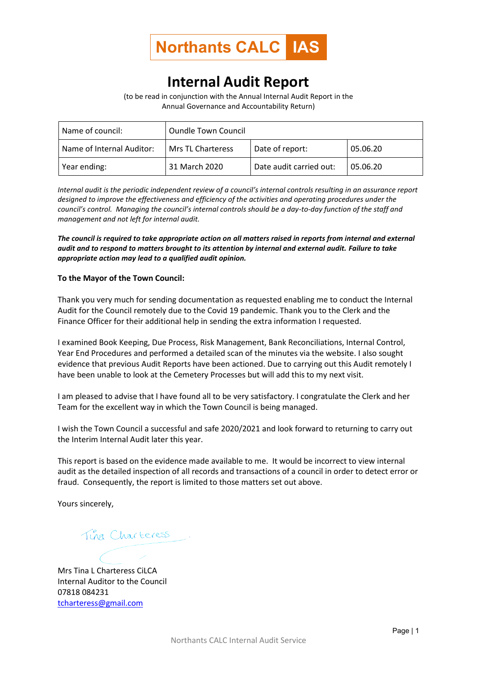

## **Internal Audit Report**

(to be read in conjunction with the Annual Internal Audit Report in the Annual Governance and Accountability Return)

| Name of council:          | <b>Oundle Town Council</b> |                         |          |
|---------------------------|----------------------------|-------------------------|----------|
| Name of Internal Auditor: | Mrs TL Charteress          | Date of report:         | 05.06.20 |
| Year ending:              | 31 March 2020              | Date audit carried out: | 05.06.20 |

*Internal audit is the periodic independent review of a council's internal controls resulting in an assurance report designed to improve the effectiveness and efficiency of the activities and operating procedures under the council's control. Managing the council's internal controls should be a day-to-day function of the staff and management and not left for internal audit.*

*The council is required to take appropriate action on all matters raised in reports from internal and external audit and to respond to matters brought to its attention by internal and external audit. Failure to take appropriate action may lead to a qualified audit opinion.*

## **To the Mayor of the Town Council:**

Thank you very much for sending documentation as requested enabling me to conduct the Internal Audit for the Council remotely due to the Covid 19 pandemic. Thank you to the Clerk and the Finance Officer for their additional help in sending the extra information I requested.

I examined Book Keeping, Due Process, Risk Management, Bank Reconciliations, Internal Control, Year End Procedures and performed a detailed scan of the minutes via the website. I also sought evidence that previous Audit Reports have been actioned. Due to carrying out this Audit remotely I have been unable to look at the Cemetery Processes but will add this to my next visit.

I am pleased to advise that I have found all to be very satisfactory. I congratulate the Clerk and her Team for the excellent way in which the Town Council is being managed.

I wish the Town Council a successful and safe 2020/2021 and look forward to returning to carry out the Interim Internal Audit later this year.

This report is based on the evidence made available to me. It would be incorrect to view internal audit as the detailed inspection of all records and transactions of a council in order to detect error or fraud. Consequently, the report is limited to those matters set out above.

Yours sincerely,

Tina Charteress

Mrs Tina L Charteress CiLCA Internal Auditor to the Council 07818 084231 [tcharteress@gmail.com](mailto:tcharteress@gmail.com)